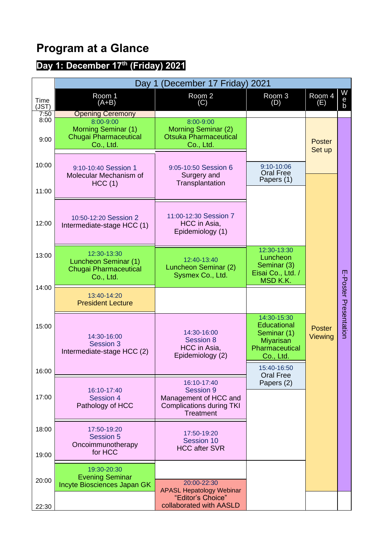## **Program at a Glance**

## **Day 1: December 17th (Friday) 2021**

|                      | Day 1 (December 17 Friday) 2021                                                                          |                                                                                                                 |                                                                                                     |                          |                       |  |  |  |
|----------------------|----------------------------------------------------------------------------------------------------------|-----------------------------------------------------------------------------------------------------------------|-----------------------------------------------------------------------------------------------------|--------------------------|-----------------------|--|--|--|
| Time<br>(JST)        | Room 1<br>$(A+B)$                                                                                        | Room 2<br>(C)                                                                                                   | Room 3<br>(D)                                                                                       | Room 4<br>(E)            | W<br>$\frac{e}{b}$    |  |  |  |
| 7:50<br>8:00<br>9:00 | <b>Opening Ceremony</b><br>8:00-9:00<br>Morning Seminar (1)<br><b>Chugai Pharmaceutical</b><br>Co., Ltd. | 8:00-9:00<br>Morning Seminar (2)<br><b>Otsuka Pharmaceutical</b><br>Co., Ltd.                                   |                                                                                                     | <b>Poster</b><br>Set up  |                       |  |  |  |
| 10:00<br>11:00       | 9:10-10:40 Session 1<br>Molecular Mechanism of<br>HCC(1)                                                 | 9:05-10:50 Session 6<br>Surgery and<br>Transplantation                                                          | 9:10-10:06<br><b>Oral Free</b><br>Papers (1)                                                        |                          |                       |  |  |  |
| 12:00                | 10:50-12:20 Session 2<br>Intermediate-stage HCC (1)                                                      | 11:00-12:30 Session 7<br>HCC in Asia,<br>Epidemiology (1)                                                       |                                                                                                     |                          |                       |  |  |  |
| 13:00                | 12:30-13:30<br>Luncheon Seminar (1)<br><b>Chugai Pharmaceutical</b><br>Co., Ltd.                         | 12:40-13:40<br>Luncheon Seminar (2)<br>Sysmex Co., Ltd.                                                         | 12:30-13:30<br>Luncheon<br>Seminar (3)<br>Eisai Co., Ltd. /<br>MSD K.K.                             |                          |                       |  |  |  |
| 14:00                | 13:40-14:20<br><b>President Lecture</b>                                                                  |                                                                                                                 |                                                                                                     |                          |                       |  |  |  |
| 15:00                | 14:30-16:00<br>Session 3<br>Intermediate-stage HCC (2)                                                   | 14:30-16:00<br><b>Session 8</b><br>HCC in Asia,<br>Epidemiology (2)                                             | 14:30-15:30<br><b>Educational</b><br>Seminar (1)<br><b>Miyarisan</b><br>Pharmaceutical<br>Co., Ltd. | <b>Poster</b><br>Viewing | E-Poster Presentation |  |  |  |
| 16:00                |                                                                                                          |                                                                                                                 | 15:40-16:50<br><b>Oral Free</b>                                                                     |                          |                       |  |  |  |
| 17:00                | 16:10-17:40<br>Session 4<br>Pathology of HCC                                                             | 16:10-17:40<br><b>Session 9</b><br>Management of HCC and<br><b>Complications during TKI</b><br><b>Treatment</b> | Papers (2)                                                                                          |                          |                       |  |  |  |
| 18:00<br>19:00       | 17:50-19:20<br><b>Session 5</b><br>Oncoimmunotherapy<br>for HCC                                          | 17:50-19:20<br>Session 10<br><b>HCC after SVR</b>                                                               |                                                                                                     |                          |                       |  |  |  |
| 20:00                | 19:30-20:30<br><b>Evening Seminar</b><br>Incyte Biosciences Japan GK                                     | 20:00-22:30<br><b>APASL Hepatology Webinar</b><br>"Editor's Choice"                                             |                                                                                                     |                          |                       |  |  |  |
| 22:30                |                                                                                                          | collaborated with AASLD                                                                                         |                                                                                                     |                          |                       |  |  |  |